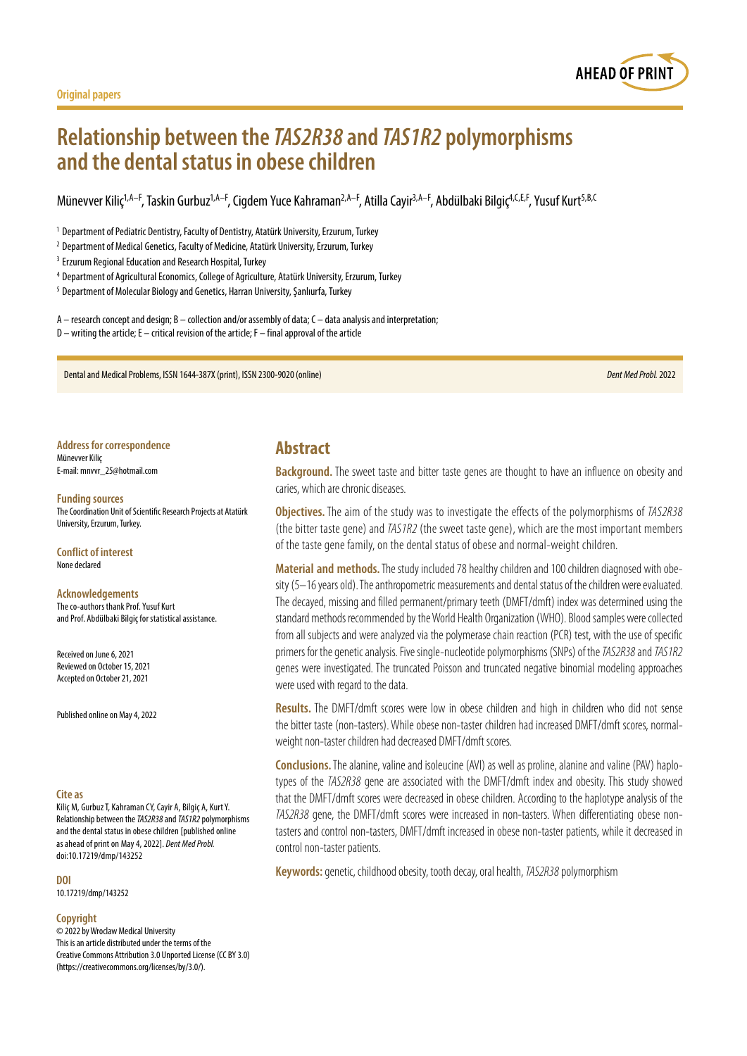



# **Relationship between the** *TAS2R38* **and** *TAS1R2* **polymorphisms and the dental status in obese children**

Münevver Kiliç<sup>1,A–F</sup>, Taskin Gurbuz<sup>1,A–F</sup>, Cigdem Yuce Kahraman<sup>2,A–F</sup>, Atilla Cayir<sup>3,A–F</sup>, Abdülbaki Bilgiç<sup>4,C,E,F</sup>, Yusuf Kurt<sup>5,B,C</sup>

<sup>1</sup> Department of Pediatric Dentistry, Faculty of Dentistry, Atatürk University, Erzurum, Turkey

<sup>2</sup> Department of Medical Genetics, Faculty of Medicine, Atatürk University, Erzurum, Turkey

<sup>3</sup> Erzurum Regional Education and Research Hospital, Turkey

<sup>4</sup> Department of Agricultural Economics, College of Agriculture, Atatürk University, Erzurum, Turkey

<sup>5</sup> Department of Molecular Biology and Genetics, Harran University, Şanlıurfa, Turkey

A – research concept and design; B – collection and/or assembly of data; C – data analysis and interpretation;

 $D$  – writing the article; E – critical revision of the article; F – final approval of the article

Dental and Medical Problems, ISSN 1644-387X (print), ISSN 2300-9020 (online) *Dent Med Probl.* 2022

**Address for correspondence** Münevver Kiliç E-mail: mnvvr\_25@hotmail.com

#### **Funding sources**

The Coordination Unit of Scientific Research Projects at Atatürk University, Erzurum, Turkey.

**Conflict of interest** None declared

**Acknowledgements** The co-authors thank Prof. Yusuf Kurt and Prof. Abdülbaki Bilgiç for statistical assistance.

Received on June 6, 2021 Reviewed on October 15, 2021 Accepted on October 21, 2021

Published online on May 4, 2022

#### **Cite as**

Kiliç M, Gurbuz T, Kahraman CY, Cayir A, Bilgiç A, Kurt Y. Relationship between the *TAS2R38* and *TAS1R2* polymorphisms and the dental status in obese children [published online as ahead of print on May 4, 2022]. *Dent Med Probl.* doi:10.17219/dmp/143252

**DOI**

10.17219/dmp/143252

#### **Copyright**

© 2022 by Wroclaw Medical University This is an article distributed under the terms of the Creative Commons Attribution 3.0 Unported License (CC BY 3.0) [\(https://creativecommons.org/licenses/by/3.0/\)](https://creativecommons.org/licenses/by/3.0/).

### **Abstract**

**Background.** The sweet taste and bitter taste genes are thought to have an influence on obesity and caries, which are chronic diseases.

**Objectives.** The aim of the study was to investigate the effects of the polymorphisms of *TAS2R38* (the bitter taste gene) and *TAS1R2* (the sweet taste gene), which are the most important members of the taste gene family, on the dental status of obese and normal-weight children.

**Material and methods.** The study included 78 healthy children and 100 children diagnosed with obesity (5–16 years old). The anthropometric measurements and dental status of the children were evaluated. The decayed, missing and filled permanent/primary teeth (DMFT/dmft) index was determined using the standard methods recommended by the World Health Organization (WHO). Blood samples were collected from all subjects and were analyzed via the polymerase chain reaction (PCR) test, with the use of specific primers for the genetic analysis. Five single-nucleotide polymorphisms (SNPs) of the *TAS2R38* and *TAS1R2* genes were investigated. The truncated Poisson and truncated negative binomial modeling approaches were used with regard to the data.

**Results.** The DMFT/dmft scores were low in obese children and high in children who did not sense the bitter taste (non-tasters). While obese non-taster children had increased DMFT/dmft scores, normalweight non-taster children had decreased DMFT/dmft scores.

**Conclusions.**The alanine, valine and isoleucine (AVI) as well as proline, alanine and valine (PAV) haplotypes of the *TAS2R38* gene are associated with the DMFT/dmft index and obesity. This study showed that the DMFT/dmft scores were decreased in obese children. According to the haplotype analysis of the *TAS2R38* gene, the DMFT/dmft scores were increased in non-tasters. When differentiating obese nontasters and control non-tasters, DMFT/dmft increased in obese non-taster patients, while it decreased in control non-taster patients.

**Keywords:** genetic, childhood obesity, tooth decay, oral health, *TAS2R38* polymorphism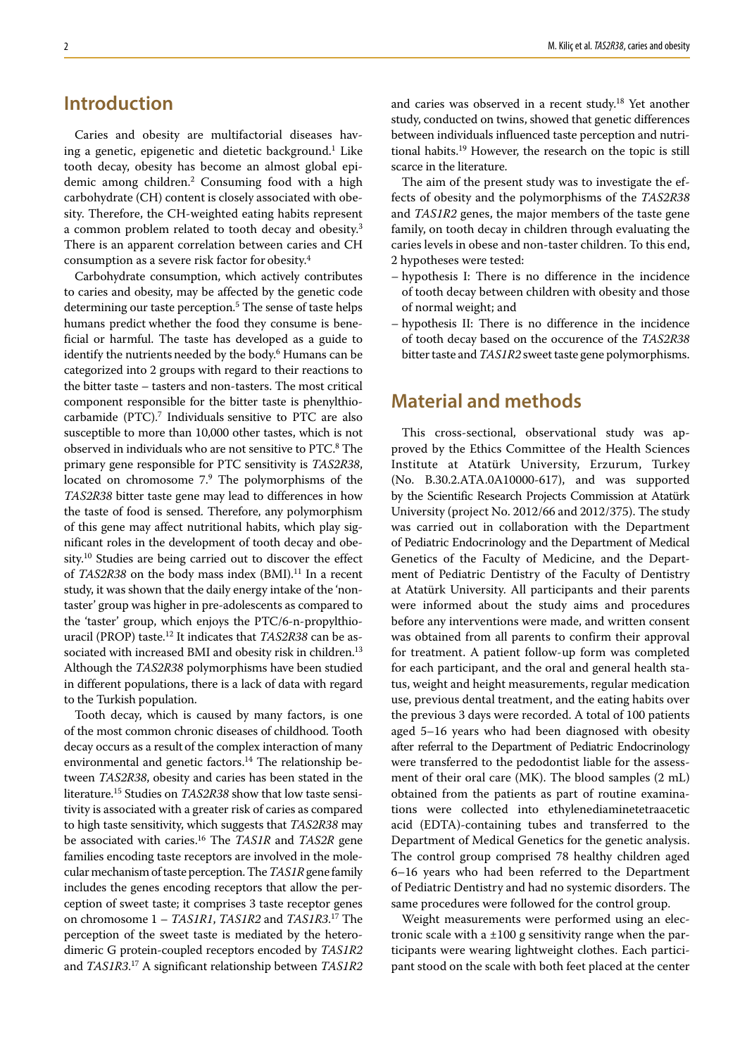# **Introduction**

Caries and obesity are multifactorial diseases having a genetic, epigenetic and dietetic background.1 Like tooth decay, obesity has become an almost global epidemic among children.2 Consuming food with a high carbohydrate (CH) content is closely associated with obesity. Therefore, the CH-weighted eating habits represent a common problem related to tooth decay and obesity.<sup>3</sup> There is an apparent correlation between caries and CH consumption as a severe risk factor for obesity.4

Carbohydrate consumption, which actively contributes to caries and obesity, may be affected by the genetic code determining our taste perception.5 The sense of taste helps humans predict whether the food they consume is beneficial or harmful. The taste has developed as a guide to identify the nutrients needed by the body.6 Humans can be categorized into 2 groups with regard to their reactions to the bitter taste – tasters and non-tasters. The most critical component responsible for the bitter taste is phenylthiocarbamide (PTC).7 Individuals sensitive to PTC are also susceptible to more than 10,000 other tastes, which is not observed in individuals who are not sensitive to PTC.<sup>8</sup> The primary gene responsible for PTC sensitivity is *TAS2R38*, located on chromosome 7.<sup>9</sup> The polymorphisms of the *TAS2R38* bitter taste gene may lead to differences in how the taste of food is sensed. Therefore, any polymorphism of this gene may affect nutritional habits, which play significant roles in the development of tooth decay and obesity.10 Studies are being carried out to discover the effect of *TAS2R38* on the body mass index (BMI).<sup>11</sup> In a recent study, it was shown that the daily energy intake of the 'nontaster' group was higher in pre-adolescents as compared to the 'taster' group, which enjoys the PTC/6-n-propylthiouracil (PROP) taste.12 It indicates that *TAS2R38* can be associated with increased BMI and obesity risk in children.<sup>13</sup> Although the *TAS2R38* polymorphisms have been studied in different populations, there is a lack of data with regard to the Turkish population.

Tooth decay, which is caused by many factors, is one of the most common chronic diseases of childhood. Tooth decay occurs as a result of the complex interaction of many environmental and genetic factors.<sup>14</sup> The relationship between *TAS2R38*, obesity and caries has been stated in the literature.15 Studies on *TAS2R38* show that low taste sensitivity is associated with a greater risk of caries as compared to high taste sensitivity, which suggests that *TAS2R38* may be associated with caries.16 The *TAS1R* and *TAS2R* gene families encoding taste receptors are involved in the molecular mechanism of taste perception. The *TAS1R* gene family includes the genes encoding receptors that allow the perception of sweet taste; it comprises 3 taste receptor genes on chromosome 1 – *TAS1R1*, *TAS1R2* and *TAS1R3*. 17 The perception of the sweet taste is mediated by the heterodimeric G protein-coupled receptors encoded by *TAS1R2* and *TAS1R3*. 17 A significant relationship between *TAS1R2*

and caries was observed in a recent study.18 Yet another study, conducted on twins, showed that genetic differences between individuals influenced taste perception and nutritional habits.19 However, the research on the topic is still scarce in the literature.

The aim of the present study was to investigate the effects of obesity and the polymorphisms of the *TAS2R38* and *TAS1R2* genes, the major members of the taste gene family, on tooth decay in children through evaluating the caries levels in obese and non-taster children. To this end, 2 hypotheses were tested:

- hypothesis I: There is no difference in the incidence of tooth decay between children with obesity and those of normal weight; and
- hypothesis II: There is no difference in the incidence of tooth decay based on the occurence of the *TAS2R38* bitter taste and *TAS1R2* sweet taste gene polymorphisms.

# **Material and methods**

This cross-sectional, observational study was approved by the Ethics Committee of the Health Sciences Institute at Atatürk University, Erzurum, Turkey (No. B.30.2.ATA.0A10000-617), and was supported by the Scientific Research Projects Commission at Atatürk University (project No. 2012/66 and 2012/375). The study was carried out in collaboration with the Department of Pediatric Endocrinology and the Department of Medical Genetics of the Faculty of Medicine, and the Department of Pediatric Dentistry of the Faculty of Dentistry at Atatürk University. All participants and their parents were informed about the study aims and procedures before any interventions were made, and written consent was obtained from all parents to confirm their approval for treatment. A patient follow-up form was completed for each participant, and the oral and general health status, weight and height measurements, regular medication use, previous dental treatment, and the eating habits over the previous 3 days were recorded. A total of 100 patients aged 5–16 years who had been diagnosed with obesity after referral to the Department of Pediatric Endocrinology were transferred to the pedodontist liable for the assessment of their oral care (MK). The blood samples (2 mL) obtained from the patients as part of routine examinations were collected into ethylenediaminetetraacetic acid (EDTA)-containing tubes and transferred to the Department of Medical Genetics for the genetic analysis. The control group comprised 78 healthy children aged 6–16 years who had been referred to the Department of Pediatric Dentistry and had no systemic disorders. The same procedures were followed for the control group.

Weight measurements were performed using an electronic scale with a  $\pm 100$  g sensitivity range when the participants were wearing lightweight clothes. Each participant stood on the scale with both feet placed at the center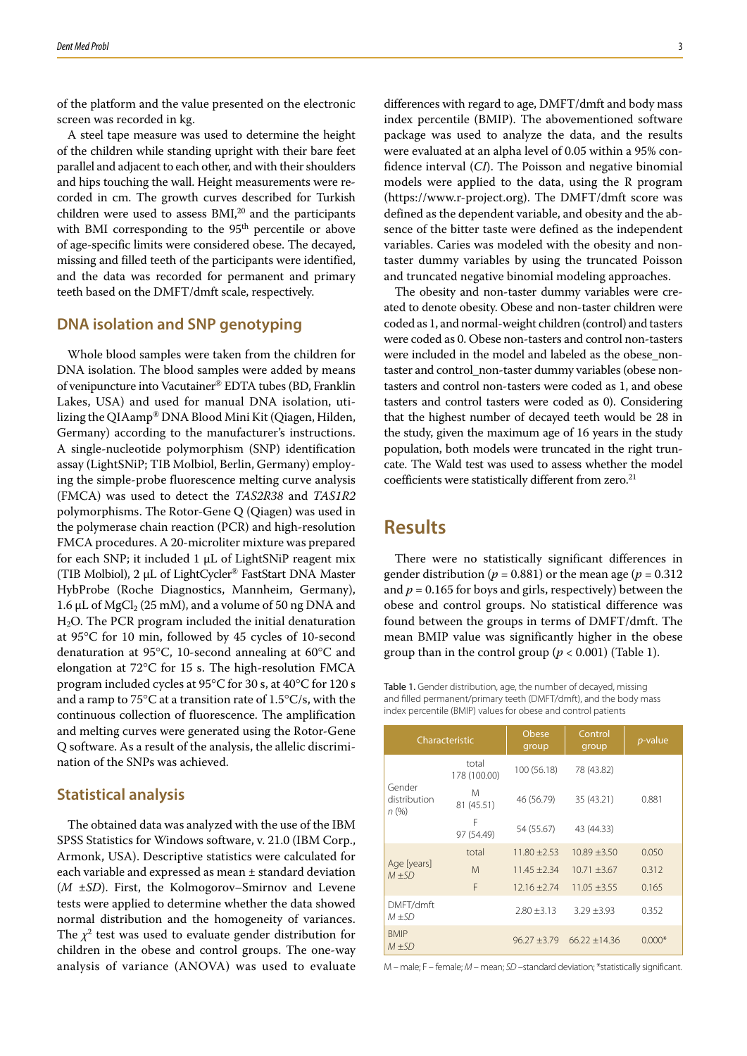of the platform and the value presented on the electronic screen was recorded in kg.

A steel tape measure was used to determine the height of the children while standing upright with their bare feet parallel and adjacent to each other, and with their shoulders and hips touching the wall. Height measurements were recorded in cm. The growth curves described for Turkish children were used to assess  $BMI<sub>1</sub><sup>20</sup>$  and the participants with BMI corresponding to the 95<sup>th</sup> percentile or above of age-specific limits were considered obese. The decayed, missing and filled teeth of the participants were identified, and the data was recorded for permanent and primary teeth based on the DMFT/dmft scale, respectively.

### **DNA isolation and SNP genotyping**

Whole blood samples were taken from the children for DNA isolation. The blood samples were added by means of venipuncture into Vacutainer® EDTA tubes (BD, Franklin Lakes, USA) and used for manual DNA isolation, utilizing the QIAamp® DNA Blood Mini Kit (Qiagen, Hilden, Germany) according to the manufacturer's instructions. A single-nucleotide polymorphism (SNP) identification assay (LightSNiP; TIB Molbiol, Berlin, Germany) employing the simple-probe fluorescence melting curve analysis (FMCA) was used to detect the *TAS2R38* and *TAS1R2* polymorphisms. The Rotor-Gene Q (Qiagen) was used in the polymerase chain reaction (PCR) and high-resolution FMCA procedures. A 20-microliter mixture was prepared for each SNP; it included 1 µL of LightSNiP reagent mix (TIB Molbiol), 2 µL of LightCycler® FastStart DNA Master HybProbe (Roche Diagnostics, Mannheim, Germany), 1.6  $\mu$ L of MgCl<sub>2</sub> (25 mM), and a volume of 50 ng DNA and  $H<sub>2</sub>O$ . The PCR program included the initial denaturation at 95°C for 10 min, followed by 45 cycles of 10-second denaturation at 95°C, 10-second annealing at 60°C and elongation at 72°C for 15 s. The high-resolution FMCA program included cycles at 95°C for 30 s, at 40°C for 120 s and a ramp to 75 $\mathrm{C}$  at a transition rate of 1.5 $\mathrm{C/s}$ , with the continuous collection of fluorescence. The amplification and melting curves were generated using the Rotor-Gene Q software. As a result of the analysis, the allelic discrimination of the SNPs was achieved.

#### **Statistical analysis**

The obtained data was analyzed with the use of the IBM SPSS Statistics for Windows software, v. 21.0 (IBM Corp., Armonk, USA). Descriptive statistics were calculated for each variable and expressed as mean ± standard deviation (*M* ±*SD*). First, the Kolmogorov–Smirnov and Levene tests were applied to determine whether the data showed normal distribution and the homogeneity of variances. The  $\chi^2$  test was used to evaluate gender distribution for children in the obese and control groups. The one-way analysis of variance (ANOVA) was used to evaluate

differences with regard to age, DMFT/dmft and body mass index percentile (BMIP). The abovementioned software package was used to analyze the data, and the results were evaluated at an alpha level of 0.05 within a 95% confidence interval (*CI*). The Poisson and negative binomial models were applied to the data, using the R program [\(https://www.r-project.org](https://www.r-project.org)). The DMFT/dmft score was defined as the dependent variable, and obesity and the absence of the bitter taste were defined as the independent variables. Caries was modeled with the obesity and nontaster dummy variables by using the truncated Poisson and truncated negative binomial modeling approaches.

The obesity and non-taster dummy variables were created to denote obesity. Obese and non-taster children were coded as 1, and normal-weight children (control) and tasters were coded as 0. Obese non-tasters and control non-tasters were included in the model and labeled as the obese\_nontaster and control\_non-taster dummy variables (obese nontasters and control non-tasters were coded as 1, and obese tasters and control tasters were coded as 0). Considering that the highest number of decayed teeth would be 28 in the study, given the maximum age of 16 years in the study population, both models were truncated in the right truncate. The Wald test was used to assess whether the model coefficients were statistically different from zero.<sup>21</sup>

### **Results**

There were no statistically significant differences in gender distribution ( $p = 0.881$ ) or the mean age ( $p = 0.312$ ) and  $p = 0.165$  for boys and girls, respectively) between the obese and control groups. No statistical difference was found between the groups in terms of DMFT/dmft. The mean BMIP value was significantly higher in the obese group than in the control group ( $p < 0.001$ ) (Table 1).

Table 1. Gender distribution, age, the number of decayed, missing and filled permanent/primary teeth (DMFT/dmft), and the body mass index percentile (BMIP) values for obese and control patients

| Characteristic                  |                       | Obese<br>group  | Control<br>group | <i>p</i> -value |
|---------------------------------|-----------------------|-----------------|------------------|-----------------|
| Gender<br>distribution<br>n (%) | total<br>178 (100.00) | 100 (56.18)     | 78 (43.82)       |                 |
|                                 | M<br>81 (45.51)       | 46 (56.79)      | 35 (43.21)       | 0.881           |
|                                 | F<br>97 (54.49)       | 54 (55.67)      | 43 (44.33)       |                 |
| Age [years]<br>$M + SD$         | total                 | $11.80 + 2.53$  | $10.89 + 3.50$   | 0.050           |
|                                 | M                     | $11.45 + 2.34$  | $10.71 \pm 3.67$ | 0.312           |
|                                 | F                     | $12.16 + 2.74$  | $11.05 \pm 3.55$ | 0.165           |
| DMFT/dmft<br>$M+SD$             |                       | $2.80 \pm 3.13$ | $3.29 \pm 3.93$  | 0.352           |
| <b>BMIP</b><br>$M+SD$           |                       | $96.27 + 3.79$  | $66.22 + 14.36$  | $0.000*$        |

M – male; F – female; *M* – mean; *SD* –standard deviation; \*statistically significant.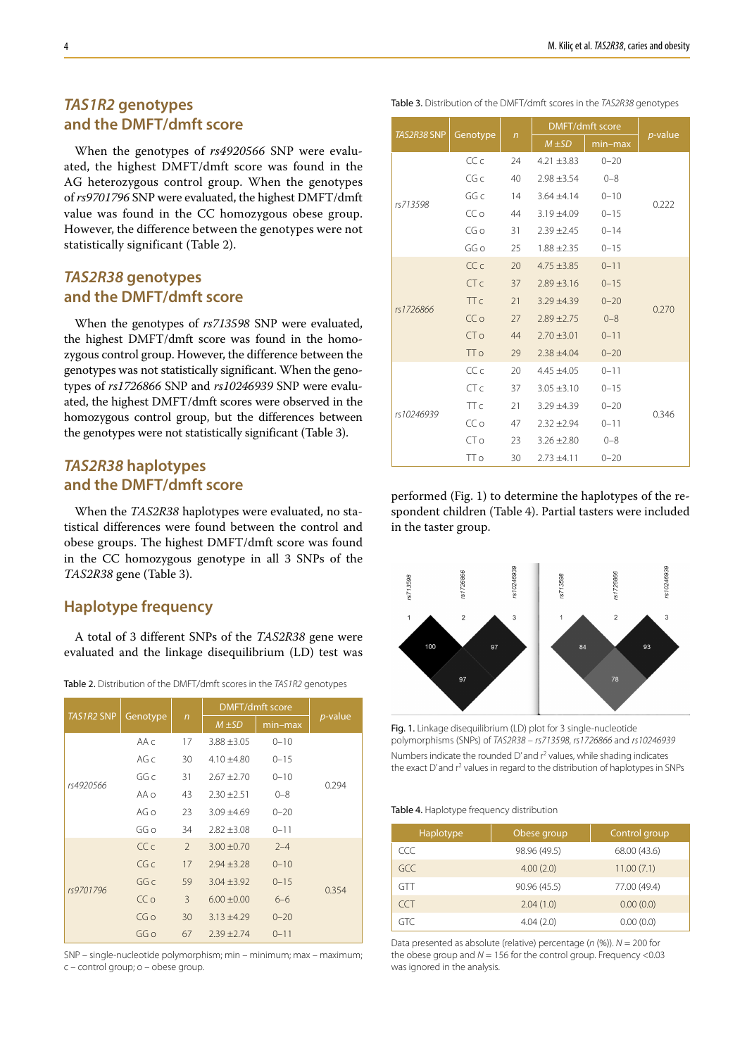### *TAS1R2* **genotypes and the DMFT/dmft score**

When the genotypes of *rs4920566* SNP were evaluated, the highest DMFT/dmft score was found in the AG heterozygous control group. When the genotypes of *rs9701796* SNP were evaluated, the highest DMFT/dmft value was found in the CC homozygous obese group. However, the difference between the genotypes were not statistically significant (Table 2).

### *TAS2R38* **genotypes and the DMFT/dmft score**

When the genotypes of *rs713598* SNP were evaluated, the highest DMFT/dmft score was found in the homozygous control group. However, the difference between the genotypes was not statistically significant. When the genotypes of *rs1726866* SNP and *rs10246939* SNP were evaluated, the highest DMFT/dmft scores were observed in the homozygous control group, but the differences between the genotypes were not statistically significant (Table 3).

## *TAS2R38* **haplotypes and the DMFT/dmft score**

When the *TAS2R38* haplotypes were evaluated, no statistical differences were found between the control and obese groups. The highest DMFT/dmft score was found in the CC homozygous genotype in all 3 SNPs of the *TAS2R38* gene (Table 3).

### **Haplotype frequency**

A total of 3 different SNPs of the *TAS2R38* gene were evaluated and the linkage disequilibrium (LD) test was

| <b>TAS1R2 SNP</b> | Genotype     | $\sqrt{n}$    | DMFT/dmft score |          |                 |
|-------------------|--------------|---------------|-----------------|----------|-----------------|
|                   |              |               | $M \pm SD$      | min-max  | <i>p</i> -value |
|                   | $AA \subset$ | 17            | $3.88 \pm 3.05$ | $0 - 10$ |                 |
|                   | AG c         | 30            | $4.10 \pm 4.80$ | $0 - 15$ |                 |
| rs4920566         | GG c         | 31            | $2.67 + 2.70$   | $0 - 10$ | 0.294           |
|                   | $AA \Omega$  | 43            | $2.30 \pm 2.51$ | $0 - 8$  |                 |
|                   | AG o         | 23            | $3.09 + 4.69$   | $0 - 20$ |                 |
|                   | GG o         | 34            | $2.82 \pm 3.08$ | $0 - 11$ |                 |
| rs9701796         | CCc          | $\mathcal{P}$ | $3.00 \pm 0.70$ | $2 - 4$  |                 |
|                   | CGC          | 17            | $2.94 \pm 3.28$ | $0 - 10$ |                 |
|                   | GGC          | 59            | $3.04 \pm 3.92$ | $0 - 15$ |                 |
|                   | CC o         | 3             | $6.00 \pm 0.00$ | $6 - 6$  | 0.354           |
|                   | CGO          | 30            | $3.13 \pm 4.29$ | $0 - 20$ |                 |
|                   | GG o         | 67            | $2.39 \pm 2.74$ | $0 - 11$ |                 |

Table 2. Distribution of the DMFT/dmft scores in the *TAS1R2* genotypes

SNP – single-nucleotide polymorphism; min – minimum; max – maximum; c – control group; o – obese group.

Table 3. Distribution of the DMFT/dmft scores in the *TAS2R38* genotypes

|                    | Genotype        |              | <b>DMFT/dmft score</b> |           |            |
|--------------------|-----------------|--------------|------------------------|-----------|------------|
| <b>TAS2R38 SNP</b> |                 | $\mathsf{n}$ | $M \pm SD$             | $min-max$ | $p$ -value |
|                    | CCc             | 24           | $4.21 + 3.83$          | $0 - 20$  | 0.222      |
|                    | CG <sub>c</sub> | 40           | $2.98 \pm 3.54$        | $0 - 8$   |            |
| rs713598           | GG c            | 14           | $3.64 \pm 4.14$        | $0 - 10$  |            |
|                    | CC o            | 44           | $3.19 + 4.09$          | $0 - 15$  |            |
|                    | CG <sub>O</sub> | 31           | $2.39 + 2.45$          | $0 - 14$  |            |
|                    | GG o            | 25           | $1.88 \pm 2.35$        | $0 - 15$  |            |
|                    | CC <sub>C</sub> | 20           | $4.75 \pm 3.85$        | $0 - 11$  | 0.270      |
|                    | CTc             | 37           | $2.89 \pm 3.16$        | $0 - 15$  |            |
| rs1726866          | TT <sub>c</sub> | 21           | $3.29 + 4.39$          | $0 - 20$  |            |
|                    | CC o            | 27           | $2.89 + 2.75$          | $0 - 8$   |            |
|                    | CT <sub>o</sub> | 44           | $2.70 \pm 3.01$        | $0 - 11$  |            |
|                    | <b>TTo</b>      | 29           | $2.38 \pm 4.04$        | $0 - 20$  |            |
|                    | CCc             | 20           | $4.45 + 4.05$          | $0 - 11$  |            |
|                    | CT c            | 37           | $3.05 \pm 3.10$        | $0 - 15$  |            |
|                    | TT <sub>c</sub> | 21           | $3.29 + 4.39$          | $0 - 20$  | 0.346      |
| rs10246939         | CC o            | 47           | $2.32 + 2.94$          | $0 - 11$  |            |
|                    | CT o            | 23           | $3.26 \pm 2.80$        | $0 - 8$   |            |
|                    | <b>TTo</b>      | 30           | $2.73 \pm 4.11$        | $0 - 20$  |            |

performed (Fig. 1) to determine the haplotypes of the respondent children (Table 4). Partial tasters were included in the taster group.



Fig. 1. Linkage disequilibrium (LD) plot for 3 single-nucleotide polymorphisms (SNPs) of *TAS2R38* – *rs713598*, *rs1726866* and *rs10246939* Numbers indicate the rounded D' and r<sup>2</sup> values, while shading indicates the exact D' and r<sup>2</sup> values in regard to the distribution of haplotypes in SNPs

Table 4. Haplotype frequency distribution

| Haplotype  | Obese group  | Control group |
|------------|--------------|---------------|
| CCC        | 98.96 (49.5) | 68.00 (43.6)  |
| GCC        | 4.00(2.0)    | 11.00(7.1)    |
| GTT        | 90.96 (45.5) | 77.00 (49.4)  |
| <b>CCT</b> | 2.04(1.0)    | 0.00(0.0)     |
| GTC        | 4.04(2.0)    | 0.00(0.0)     |

Data presented as absolute (relative) percentage (*n* (%)). *N* = 200 for the obese group and  $N = 156$  for the control group. Frequency  $\leq 0.03$ was ignored in the analysis.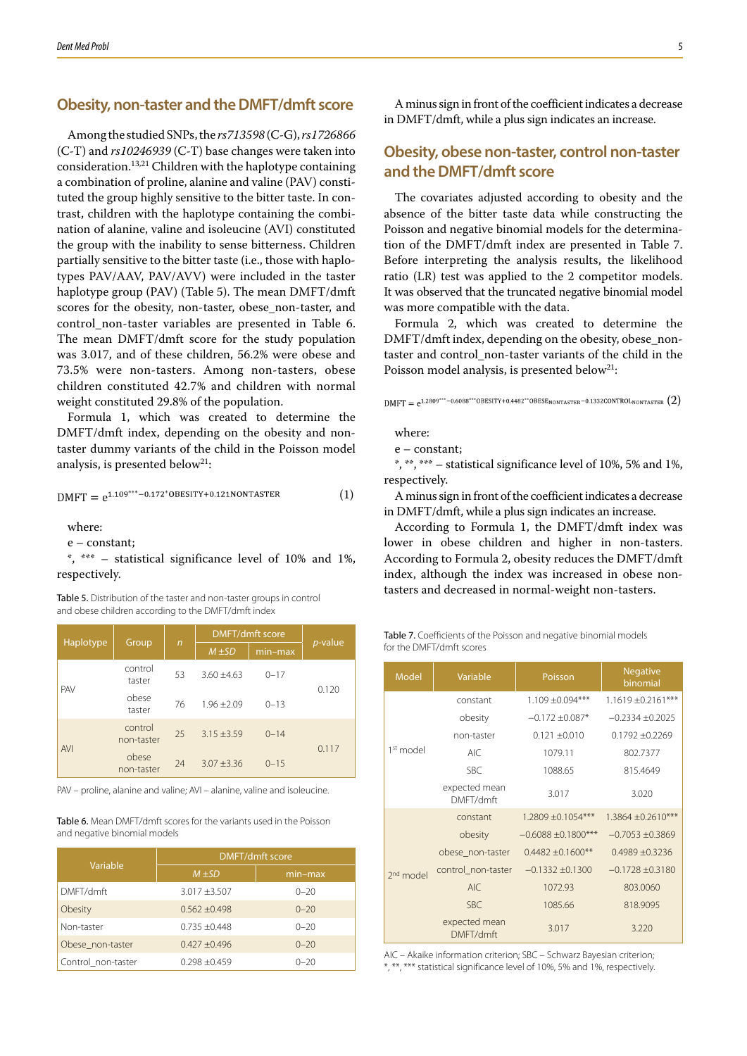### **Obesity, non-taster and the DMFT/dmft score**

Among the studied SNPs, the *rs713598* (C-G), *rs1726866* (C-T) and *rs10246939* (C-T) base changes were taken into consideration.13,21 Children with the haplotype containing a combination of proline, alanine and valine (PAV) constituted the group highly sensitive to the bitter taste. In contrast, children with the haplotype containing the combination of alanine, valine and isoleucine (AVI) constituted the group with the inability to sense bitterness. Children partially sensitive to the bitter taste (i.e., those with haplotypes PAV/AAV, PAV/AVV) were included in the taster haplotype group (PAV) (Table 5). The mean DMFT/dmft scores for the obesity, non-taster, obese\_non-taster, and control\_non-taster variables are presented in Table 6. The mean DMFT/dmft score for the study population was 3.017, and of these children, 56.2% were obese and 73.5% were non-tasters. Among non-tasters, obese children constituted 42.7% and children with normal weight constituted 29.8% of the population.

Formula 1, which was created to determine the DMFT/dmft index, depending on the obesity and nontaster dummy variants of the child in the Poisson model analysis, is presented below<sup>21</sup>:

$$
DMFT = e^{1.109*** - 0.172*OBESITY + 0.121NONTASTER}
$$
 (1)

where:

e – constant;

\*, \*\*\* – statistical significance level of 10% and 1%, respectively.

and obese children according to the DMFT/dmft index

|            | Group                 | $\mathsf{n}$ | <b>DMFT/dmft score</b> |          |                 |  |
|------------|-----------------------|--------------|------------------------|----------|-----------------|--|
| Haplotype  |                       |              | $M \pm SD$             | min-max  | <i>p</i> -value |  |
| <b>PAV</b> | control<br>taster     | 53           | $3.60 + 4.63$          | $0 - 17$ | 0.120           |  |
|            | obese<br>taster       | 76           | $1.96 + 2.09$          | $0 - 13$ |                 |  |
| <b>AVI</b> | control<br>non-taster | 25           | $3.15 + 3.59$          | $0 - 14$ | 0.117           |  |
|            | obese<br>non-taster   | 24           | $3.07 + 3.36$          | $0 - 15$ |                 |  |

PAV – proline, alanine and valine; AVI – alanine, valine and isoleucine.

Table 6. Mean DMFT/dmft scores for the variants used in the Poisson and negative binomial models

| Variable           | <b>DMFT/dmft score</b> |           |  |  |
|--------------------|------------------------|-----------|--|--|
|                    | $M \pm SD$             | $min-max$ |  |  |
| DMFT/dmft          | $3.017 + 3.507$        | $0 - 20$  |  |  |
| Obesity            | $0.562 \pm 0.498$      | $0 - 20$  |  |  |
| Non-taster         | $0.735 + 0.448$        | $0 - 20$  |  |  |
| Obese non-taster   | $0.427 \pm 0.496$      | $0 - 20$  |  |  |
| Control_non-taster | $0.298 \pm 0.459$      | $0 - 20$  |  |  |

A minus sign in front of the coefficient indicates a decrease in DMFT/dmft, while a plus sign indicates an increase.

### **Obesity, obese non-taster, control non-taster and the DMFT/dmft score**

The covariates adjusted according to obesity and the absence of the bitter taste data while constructing the Poisson and negative binomial models for the determination of the DMFT/dmft index are presented in Table 7. Before interpreting the analysis results, the likelihood ratio (LR) test was applied to the 2 competitor models. It was observed that the truncated negative binomial model was more compatible with the data.

Formula 2, which was created to determine the DMFT/dmft index, depending on the obesity, obese\_nontaster and control\_non-taster variants of the child in the Poisson model analysis, is presented below<sup>21</sup>:

DMFT =  $e^{1.2809***-0.6088***}$ OBESITY+0.4482\*\*OBESE<sub>NONTASTER</sub>-0.1332CONTROL<sub>NONTASTER</sub> (2)

where:

e – constant;

\*, \*\*, \*\*\* – statistical significance level of 10%, 5% and 1%, respectively.

A minus sign in front of the coefficient indicates a decrease in DMFT/dmft, while a plus sign indicates an increase.

According to Formula 1, the DMFT/dmft index was lower in obese children and higher in non-tasters. According to Formula 2, obesity reduces the DMFT/dmft index, although the index was increased in obese nontasters and decreased in normal-weight non-tasters. Table 5. Distribution of the taster and non-taster groups in control

> Table 7. Coefficients of the Poisson and negative binomial models for the DMFT/dmft scores

| <b>Model</b>          | Variable                   | Poisson                  | <b>Negative</b><br>binomial |
|-----------------------|----------------------------|--------------------------|-----------------------------|
| 1 <sup>st</sup> model | constant                   | $1.109 \pm 0.094***$     | $1.1619 \pm 0.2161***$      |
|                       | obesity                    | $-0.172 \pm 0.087*$      | $-0.2334 \pm 0.2025$        |
|                       | non-taster                 | $0.121 \pm 0.010$        | $0.1792 + 0.2269$           |
|                       | AIC                        | 1079.11                  | 802.7377                    |
|                       | <b>SBC</b>                 | 1088.65                  | 815.4649                    |
|                       | expected mean<br>DMFT/dmft | 3.017                    | 3.020                       |
| 2 <sup>nd</sup> model | constant                   | $1.2809 \pm 0.1054***$   | $1.3864 \pm 0.2610***$      |
|                       | obesity                    | $-0.6088 \pm 0.1800$ *** | $-0.7053 \pm 0.3869$        |
|                       | obese non-taster           | $0.4482 \pm 0.1600**$    | $0.4989 \pm 0.3236$         |
|                       | control non-taster         | $-0.1332 \pm 0.1300$     | $-0.1728 \pm 0.3180$        |
|                       | <b>AIC</b>                 | 1072.93                  | 803,0060                    |
|                       | <b>SBC</b>                 | 1085.66                  | 818,9095                    |
|                       | expected mean<br>DMFT/dmft | 3.017                    | 3.220                       |

AIC – Akaike information criterion; SBC – Schwarz Bayesian criterion; \*, \*\*, \*\*\* statistical significance level of 10%, 5% and 1%, respectively.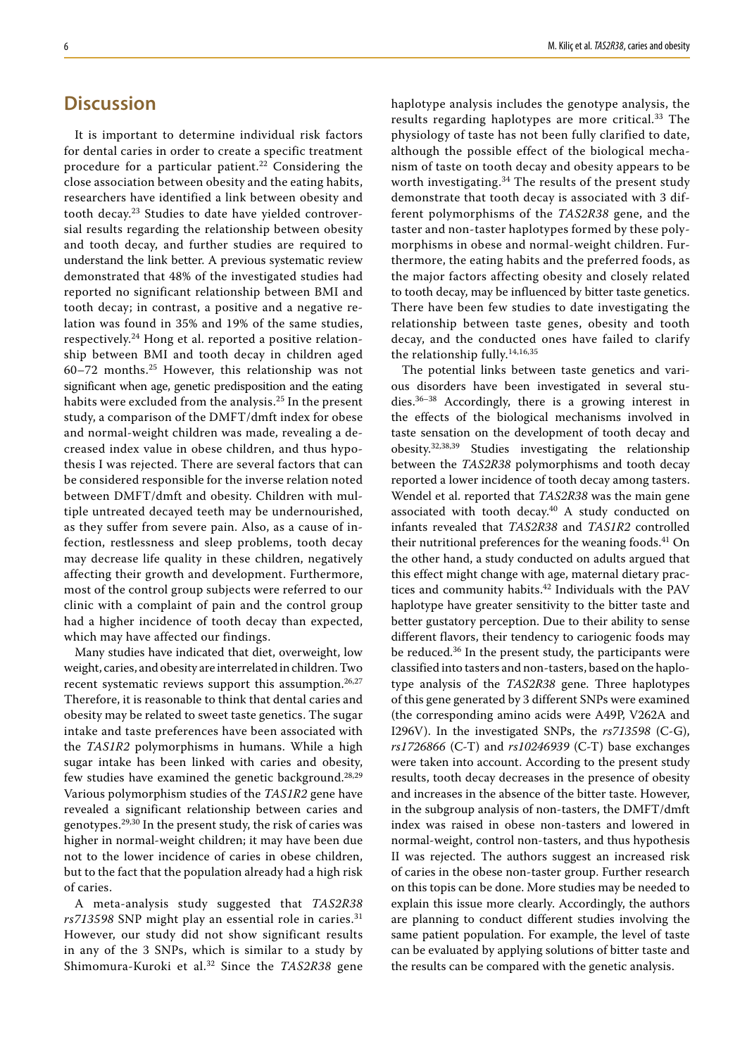# **Discussion**

It is important to determine individual risk factors for dental caries in order to create a specific treatment procedure for a particular patient.<sup>22</sup> Considering the close association between obesity and the eating habits, researchers have identified a link between obesity and tooth decay.23 Studies to date have yielded controversial results regarding the relationship between obesity and tooth decay, and further studies are required to understand the link better. A previous systematic review demonstrated that 48% of the investigated studies had reported no significant relationship between BMI and tooth decay; in contrast, a positive and a negative relation was found in 35% and 19% of the same studies, respectively.24 Hong et al. reported a positive relationship between BMI and tooth decay in children aged 60–72 months.25 However, this relationship was not significant when age, genetic predisposition and the eating habits were excluded from the analysis.<sup>25</sup> In the present study, a comparison of the DMFT/dmft index for obese and normal-weight children was made, revealing a decreased index value in obese children, and thus hypothesis I was rejected. There are several factors that can be considered responsible for the inverse relation noted between DMFT/dmft and obesity. Children with multiple untreated decayed teeth may be undernourished, as they suffer from severe pain. Also, as a cause of infection, restlessness and sleep problems, tooth decay may decrease life quality in these children, negatively affecting their growth and development. Furthermore, most of the control group subjects were referred to our clinic with a complaint of pain and the control group had a higher incidence of tooth decay than expected, which may have affected our findings.

Many studies have indicated that diet, overweight, low weight, caries, and obesity are interrelated in children. Two recent systematic reviews support this assumption.<sup>26,27</sup> Therefore, it is reasonable to think that dental caries and obesity may be related to sweet taste genetics. The sugar intake and taste preferences have been associated with the *TAS1R2* polymorphisms in humans. While a high sugar intake has been linked with caries and obesity, few studies have examined the genetic background.<sup>28,29</sup> Various polymorphism studies of the *TAS1R2* gene have revealed a significant relationship between caries and genotypes.29,30 In the present study, the risk of caries was higher in normal-weight children; it may have been due not to the lower incidence of caries in obese children, but to the fact that the population already had a high risk of caries.

A meta-analysis study suggested that *TAS2R38 rs713598* SNP might play an essential role in caries.<sup>31</sup> However, our study did not show significant results in any of the 3 SNPs, which is similar to a study by Shimomura-Kuroki et al.32 Since the *TAS2R38* gene haplotype analysis includes the genotype analysis, the results regarding haplotypes are more critical.<sup>33</sup> The physiology of taste has not been fully clarified to date, although the possible effect of the biological mechanism of taste on tooth decay and obesity appears to be worth investigating.<sup>34</sup> The results of the present study demonstrate that tooth decay is associated with 3 different polymorphisms of the *TAS2R38* gene, and the taster and non-taster haplotypes formed by these polymorphisms in obese and normal-weight children. Furthermore, the eating habits and the preferred foods, as the major factors affecting obesity and closely related to tooth decay, may be influenced by bitter taste genetics. There have been few studies to date investigating the relationship between taste genes, obesity and tooth decay, and the conducted ones have failed to clarify the relationship fully.14,16,35

The potential links between taste genetics and various disorders have been investigated in several studies.36–38 Accordingly, there is a growing interest in the effects of the biological mechanisms involved in taste sensation on the development of tooth decay and obesity.32,38,39 Studies investigating the relationship between the *TAS2R38* polymorphisms and tooth decay reported a lower incidence of tooth decay among tasters. Wendel et al. reported that *TAS2R38* was the main gene associated with tooth decay.40 A study conducted on infants revealed that *TAS2R38* and *TAS1R2* controlled their nutritional preferences for the weaning foods.<sup>41</sup> On the other hand, a study conducted on adults argued that this effect might change with age, maternal dietary practices and community habits.<sup>42</sup> Individuals with the PAV haplotype have greater sensitivity to the bitter taste and better gustatory perception. Due to their ability to sense different flavors, their tendency to cariogenic foods may be reduced.36 In the present study, the participants were classified into tasters and non-tasters, based on the haplotype analysis of the *TAS2R38* gene. Three haplotypes of this gene generated by 3 different SNPs were examined (the corresponding amino acids were A49P, V262A and I296V). In the investigated SNPs, the *rs713598* (C-G), *rs1726866* (C-T) and *rs10246939* (C-T) base exchanges were taken into account. According to the present study results, tooth decay decreases in the presence of obesity and increases in the absence of the bitter taste. However, in the subgroup analysis of non-tasters, the DMFT/dmft index was raised in obese non-tasters and lowered in normal-weight, control non-tasters, and thus hypothesis II was rejected. The authors suggest an increased risk of caries in the obese non-taster group. Further research on this topis can be done. More studies may be needed to explain this issue more clearly. Accordingly, the authors are planning to conduct different studies involving the same patient population. For example, the level of taste can be evaluated by applying solutions of bitter taste and the results can be compared with the genetic analysis.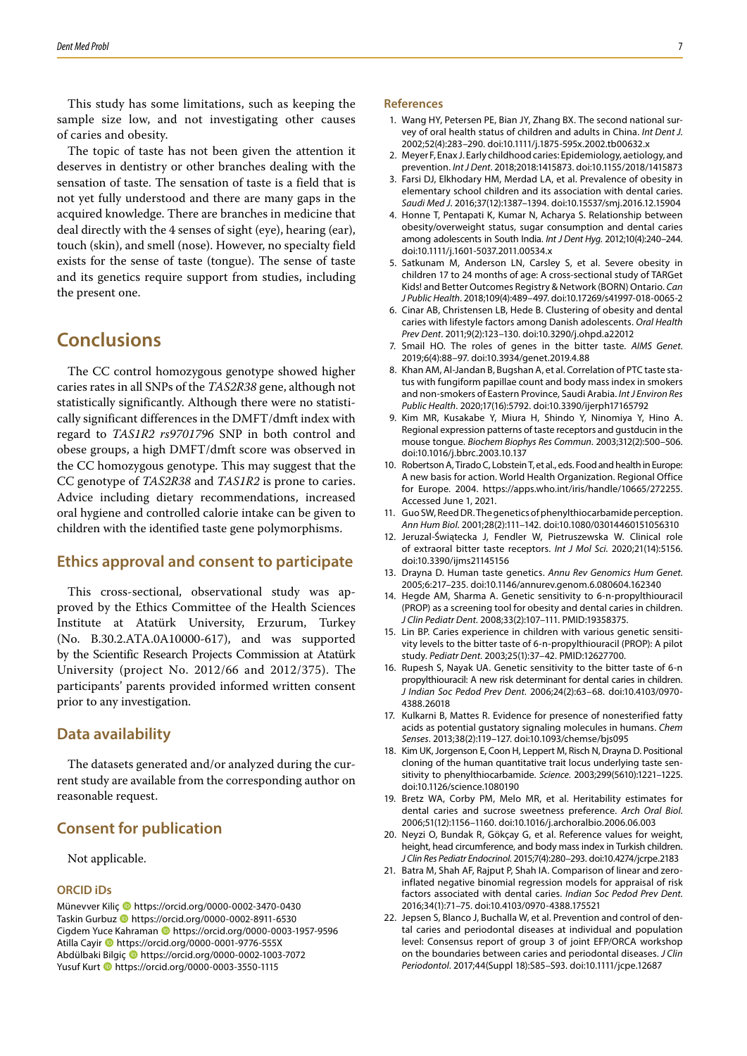This study has some limitations, such as keeping the sample size low, and not investigating other causes of caries and obesity.

The topic of taste has not been given the attention it deserves in dentistry or other branches dealing with the sensation of taste. The sensation of taste is a field that is not yet fully understood and there are many gaps in the acquired knowledge. There are branches in medicine that deal directly with the 4 senses of sight (eye), hearing (ear), touch (skin), and smell (nose). However, no specialty field exists for the sense of taste (tongue). The sense of taste and its genetics require support from studies, including the present one.

# **Conclusions**

The CC control homozygous genotype showed higher caries rates in all SNPs of the *TAS2R38* gene, although not statistically significantly. Although there were no statistically significant differences in the DMFT/dmft index with regard to *TAS1R2 rs9701796* SNP in both control and obese groups, a high DMFT/dmft score was observed in the CC homozygous genotype. This may suggest that the CC genotype of *TAS2R38* and *TAS1R2* is prone to caries. Advice including dietary recommendations, increased oral hygiene and controlled calorie intake can be given to children with the identified taste gene polymorphisms.

### **Ethics approval and consent to participate**

This cross-sectional, observational study was approved by the Ethics Committee of the Health Sciences Institute at Atatürk University, Erzurum, Turkey (No. B.30.2.ATA.0A10000-617), and was supported by the Scientific Research Projects Commission at Atatürk University (project No. 2012/66 and 2012/375). The participants' parents provided informed written consent prior to any investigation.

### **Data availability**

The datasets generated and/or analyzed during the current study are available from the corresponding author on reasonable request.

### **Consent for publication**

Not applicable.

#### **ORCID iDs**

Münevver Kiliç https://orcid.org/0000-0002-3470-0430 Taskin Gurbuz **I** https://orcid.org/0000-0002-8911-6530 Cigdem Yuce Kahraman **ID** https://orcid.org/0000-0003-1957-9596 Atilla Cayir <sup>1</sup> https://orcid.org/0000-0001-9776-555X Abdülbaki Bilgiç https://orcid.org/0000-0002-1003-7072 Yusuf Kurt https://orcid.org/0000-0003-3550-1115

#### **References**

- 1. Wang HY, Petersen PE, Bian JY, Zhang BX. The second national survey of oral health status of children and adults in China. *Int Dent J*. 2002;52(4):283–290. doi:10.1111/j.1875-595x.2002.tb00632.x
- 2. Meyer F, Enax J. Early childhood caries: Epidemiology, aetiology, and prevention. *Int J Dent*. 2018;2018:1415873. doi:10.1155/2018/1415873
- 3. Farsi DJ, Elkhodary HM, Merdad LA, et al. Prevalence of obesity in elementary school children and its association with dental caries. *Saudi Med J*. 2016;37(12):1387–1394. doi:10.15537/smj.2016.12.15904
- 4. Honne T, Pentapati K, Kumar N, Acharya S. Relationship between obesity/overweight status, sugar consumption and dental caries among adolescents in South India. *Int J Dent Hyg*. 2012;10(4):240–244. doi:10.1111/j.1601-5037.2011.00534.x
- 5. Satkunam M, Anderson LN, Carsley S, et al. Severe obesity in children 17 to 24 months of age: A cross-sectional study of TARGet Kids! and Better Outcomes Registry & Network (BORN) Ontario. *Can J Public Health*. 2018;109(4):489–497. doi:10.17269/s41997-018-0065-2
- 6. Cinar AB, Christensen LB, Hede B. Clustering of obesity and dental caries with lifestyle factors among Danish adolescents. *Oral Health Prev Dent*. 2011;9(2):123–130. doi:10.3290/j.ohpd.a22012
- 7. Smail HO. The roles of genes in the bitter taste. *AIMS Genet*. 2019;6(4):88–97. doi:10.3934/genet.2019.4.88
- 8. Khan AM, Al-Jandan B, Bugshan A, et al. Correlation of PTC taste status with fungiform papillae count and body mass index in smokers and non-smokers of Eastern Province, Saudi Arabia. *Int J Environ Res Public Health*. 2020;17(16):5792. doi:10.3390/ijerph17165792
- 9. Kim MR, Kusakabe Y, Miura H, Shindo Y, Ninomiya Y, Hino A. Regional expression patterns of taste receptors and gustducin in the mouse tongue. *Biochem Biophys Res Commun*. 2003;312(2):500–506. doi:10.1016/j.bbrc.2003.10.137
- 10. Robertson A, Tirado C, Lobstein T, et al., eds. Food and health in Europe: A new basis for action. World Health Organization. Regional Office for Europe. 2004. https://apps.who.int/iris/handle/10665/272255. Accessed June 1, 2021.
- 11. Guo SW, Reed DR. The genetics of phenylthiocarbamide perception. *Ann Hum Biol*. 2001;28(2):111–142. doi:10.1080/03014460151056310
- 12. Jeruzal-Świątecka J, Fendler W, Pietruszewska W. Clinical role of extraoral bitter taste receptors. *Int J Mol Sci*. 2020;21(14):5156. doi:10.3390/ijms21145156
- 13. Drayna D. Human taste genetics. *Annu Rev Genomics Hum Genet*. 2005;6:217–235. doi:10.1146/annurev.genom.6.080604.162340
- 14. Hegde AM, Sharma A. Genetic sensitivity to 6-n-propylthiouracil (PROP) as a screening tool for obesity and dental caries in children. *J Clin Pediatr Dent*. 2008;33(2):107–111. PMID:19358375.
- 15. Lin BP. Caries experience in children with various genetic sensitivity levels to the bitter taste of 6-n-propylthiouracil (PROP): A pilot study. *Pediatr Dent*. 2003;25(1):37–42. PMID:12627700.
- 16. Rupesh S, Nayak UA. Genetic sensitivity to the bitter taste of 6-n propylthiouracil: A new risk determinant for dental caries in children. *J Indian Soc Pedod Prev Dent*. 2006;24(2):63–68. doi:10.4103/0970- 4388.26018
- 17. Kulkarni B, Mattes R. Evidence for presence of nonesterified fatty acids as potential gustatory signaling molecules in humans. *Chem Senses*. 2013;38(2):119–127. doi:10.1093/chemse/bjs095
- 18. Kim UK, Jorgenson E, Coon H, Leppert M, Risch N, Drayna D. Positional cloning of the human quantitative trait locus underlying taste sensitivity to phenylthiocarbamide. *Science*. 2003;299(5610):1221–1225. doi:10.1126/science.1080190
- 19. Bretz WA, Corby PM, Melo MR, et al. Heritability estimates for dental caries and sucrose sweetness preference. *Arch Oral Biol*. 2006;51(12):1156–1160. doi:10.1016/j.archoralbio.2006.06.003
- 20. Neyzi O, Bundak R, Gökçay G, et al. Reference values for weight, height, head circumference, and body mass index in Turkish children. *J Clin Res Pediatr Endocrinol*. 2015;7(4):280–293. doi:10.4274/jcrpe.2183
- 21. Batra M, Shah AF, Rajput P, Shah IA. Comparison of linear and zeroinflated negative binomial regression models for appraisal of risk factors associated with dental caries. *Indian Soc Pedod Prev Dent*. 2016;34(1):71–75. doi:10.4103/0970-4388.175521
- 22. Jepsen S, Blanco J, Buchalla W, et al. Prevention and control of dental caries and periodontal diseases at individual and population level: Consensus report of group 3 of joint EFP/ORCA workshop on the boundaries between caries and periodontal diseases. *J Clin Periodontol*. 2017;44(Suppl 18):S85–S93. doi:10.1111/jcpe.12687